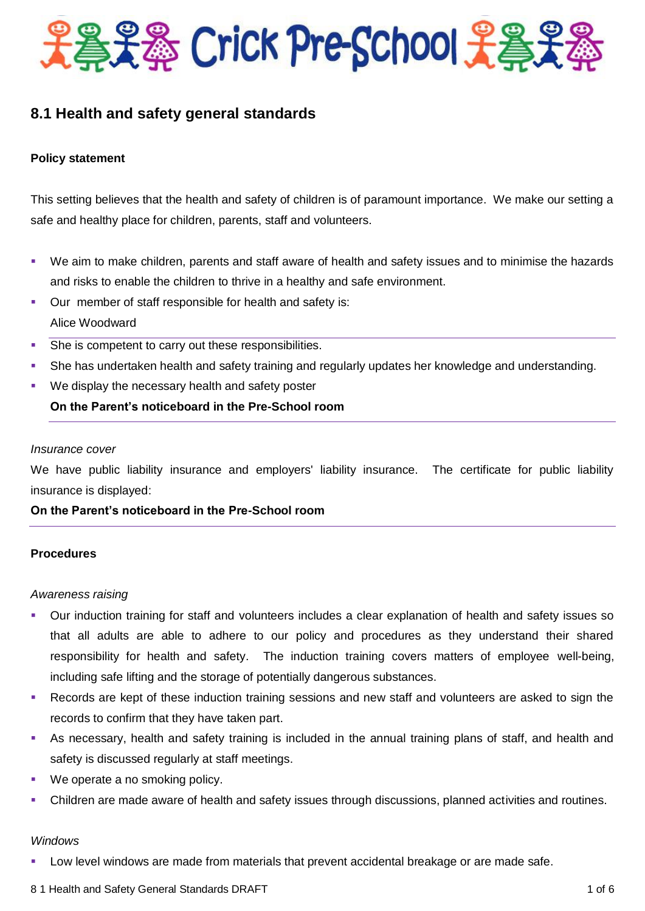

# **8.1 Health and safety general standards**

## **Policy statement**

This setting believes that the health and safety of children is of paramount importance. We make our setting a safe and healthy place for children, parents, staff and volunteers.

- We aim to make children, parents and staff aware of health and safety issues and to minimise the hazards and risks to enable the children to thrive in a healthy and safe environment.
- Our member of staff responsible for health and safety is: Alice Woodward
- **She is competent to carry out these responsibilities.**
- She has undertaken health and safety training and regularly updates her knowledge and understanding.
- We display the necessary health and safety poster

# **On the Parent's noticeboard in the Pre-School room**

#### *Insurance cover*

We have public liability insurance and employers' liability insurance. The certificate for public liability insurance is displayed:

**On the Parent's noticeboard in the Pre-School room**

## **Procedures**

#### *Awareness raising*

- Our induction training for staff and volunteers includes a clear explanation of health and safety issues so that all adults are able to adhere to our policy and procedures as they understand their shared responsibility for health and safety. The induction training covers matters of employee well-being, including safe lifting and the storage of potentially dangerous substances.
- Records are kept of these induction training sessions and new staff and volunteers are asked to sign the records to confirm that they have taken part.
- As necessary, health and safety training is included in the annual training plans of staff, and health and safety is discussed regularly at staff meetings.
- We operate a no smoking policy.
- Children are made aware of health and safety issues through discussions, planned activities and routines.

#### *Windows*

- Low level windows are made from materials that prevent accidental breakage or are made safe.
- 8 1 Health and Safety General Standards DRAFT 1 of 6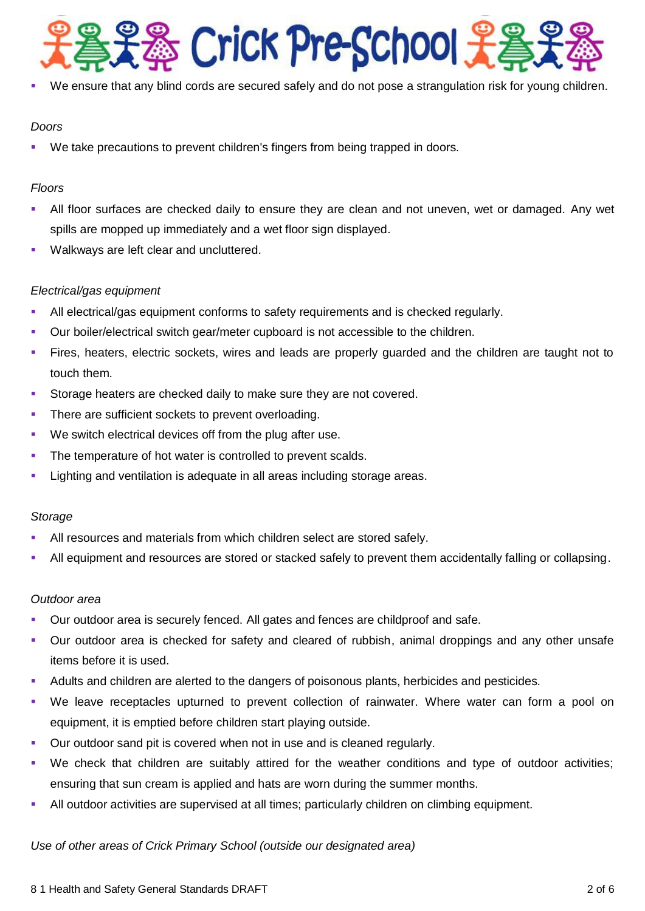

We ensure that any blind cords are secured safely and do not pose a strangulation risk for young children.

## *Doors*

We take precautions to prevent children's fingers from being trapped in doors.

# *Floors*

- All floor surfaces are checked daily to ensure they are clean and not uneven, wet or damaged. Any wet spills are mopped up immediately and a wet floor sign displayed.
- Walkways are left clear and uncluttered.

# *Electrical/gas equipment*

- All electrical/gas equipment conforms to safety requirements and is checked regularly.
- Our boiler/electrical switch gear/meter cupboard is not accessible to the children.
- Fires, heaters, electric sockets, wires and leads are properly guarded and the children are taught not to touch them.
- **Storage heaters are checked daily to make sure they are not covered.**
- **There are sufficient sockets to prevent overloading.**
- We switch electrical devices off from the plug after use.
- The temperature of hot water is controlled to prevent scalds.
- **EXECT** Lighting and ventilation is adequate in all areas including storage areas.

## *Storage*

- All resources and materials from which children select are stored safely.
- All equipment and resources are stored or stacked safely to prevent them accidentally falling or collapsing.

## *Outdoor area*

- Our outdoor area is securely fenced. All gates and fences are childproof and safe.
- Our outdoor area is checked for safety and cleared of rubbish, animal droppings and any other unsafe items before it is used.
- Adults and children are alerted to the dangers of poisonous plants, herbicides and pesticides.
- We leave receptacles upturned to prevent collection of rainwater. Where water can form a pool on equipment, it is emptied before children start playing outside.
- **Our outdoor sand pit is covered when not in use and is cleaned regularly.**
- We check that children are suitably attired for the weather conditions and type of outdoor activities; ensuring that sun cream is applied and hats are worn during the summer months.
- All outdoor activities are supervised at all times; particularly children on climbing equipment.

## *Use of other areas of Crick Primary School (outside our designated area)*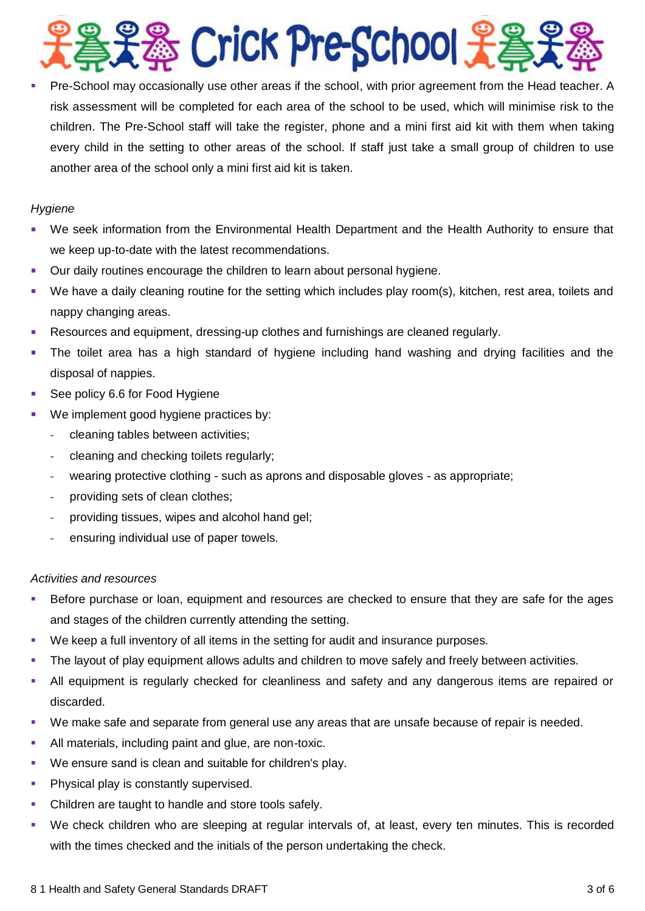

 Pre-School may occasionally use other areas if the school, with prior agreement from the Head teacher. A risk assessment will be completed for each area of the school to be used, which will minimise risk to the children. The Pre-School staff will take the register, phone and a mini first aid kit with them when taking every child in the setting to other areas of the school. If staff just take a small group of children to use another area of the school only a mini first aid kit is taken.

# *Hygiene*

- We seek information from the Environmental Health Department and the Health Authority to ensure that we keep up-to-date with the latest recommendations.
- Our daily routines encourage the children to learn about personal hygiene.
- We have a daily cleaning routine for the setting which includes play room(s), kitchen, rest area, toilets and nappy changing areas.
- Resources and equipment, dressing-up clothes and furnishings are cleaned regularly.
- The toilet area has a high standard of hygiene including hand washing and drying facilities and the disposal of nappies.
- See policy 6.6 for Food Hygiene
- We implement good hygiene practices by:
	- **-** cleaning tables between activities;
	- **-** cleaning and checking toilets regularly;
	- **-** wearing protective clothing such as aprons and disposable gloves as appropriate;
	- **-** providing sets of clean clothes;
	- **-** providing tissues, wipes and alcohol hand gel;
	- **-** ensuring individual use of paper towels.

## *Activities and resources*

- Before purchase or loan, equipment and resources are checked to ensure that they are safe for the ages and stages of the children currently attending the setting.
- We keep a full inventory of all items in the setting for audit and insurance purposes.
- **The layout of play equipment allows adults and children to move safely and freely between activities.**
- All equipment is regularly checked for cleanliness and safety and any dangerous items are repaired or discarded.
- We make safe and separate from general use any areas that are unsafe because of repair is needed.
- All materials, including paint and glue, are non-toxic.
- We ensure sand is clean and suitable for children's play.
- **Physical play is constantly supervised.**
- Children are taught to handle and store tools safely.
- We check children who are sleeping at regular intervals of, at least, every ten minutes. This is recorded with the times checked and the initials of the person undertaking the check.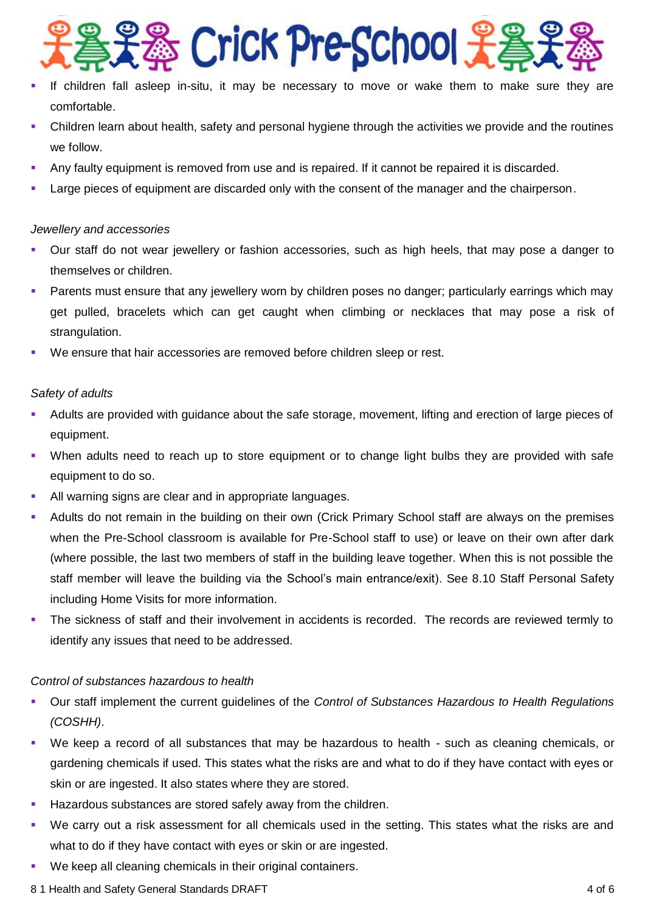

- If children fall asleep in-situ, it may be necessary to move or wake them to make sure they are comfortable.
- Children learn about health, safety and personal hygiene through the activities we provide and the routines we follow.
- Any faulty equipment is removed from use and is repaired. If it cannot be repaired it is discarded.
- Large pieces of equipment are discarded only with the consent of the manager and the chairperson.

#### *Jewellery and accessories*

- Our staff do not wear jewellery or fashion accessories, such as high heels, that may pose a danger to themselves or children.
- Parents must ensure that any jewellery worn by children poses no danger; particularly earrings which may get pulled, bracelets which can get caught when climbing or necklaces that may pose a risk of strangulation.
- We ensure that hair accessories are removed before children sleep or rest.

## *Safety of adults*

- Adults are provided with guidance about the safe storage, movement, lifting and erection of large pieces of equipment.
- When adults need to reach up to store equipment or to change light bulbs they are provided with safe equipment to do so.
- All warning signs are clear and in appropriate languages.
- Adults do not remain in the building on their own (Crick Primary School staff are always on the premises when the Pre-School classroom is available for Pre-School staff to use) or leave on their own after dark (where possible, the last two members of staff in the building leave together. When this is not possible the staff member will leave the building via the School's main entrance/exit). See 8.10 Staff Personal Safety including Home Visits for more information.
- The sickness of staff and their involvement in accidents is recorded. The records are reviewed termly to identify any issues that need to be addressed.

## *Control of substances hazardous to health*

- Our staff implement the current guidelines of the *Control of Substances Hazardous to Health Regulations (COSHH)*.
- We keep a record of all substances that may be hazardous to health such as cleaning chemicals, or gardening chemicals if used. This states what the risks are and what to do if they have contact with eyes or skin or are ingested. It also states where they are stored.
- Hazardous substances are stored safely away from the children.
- We carry out a risk assessment for all chemicals used in the setting. This states what the risks are and what to do if they have contact with eyes or skin or are ingested.
- We keep all cleaning chemicals in their original containers.
- 8 1 Health and Safety General Standards DRAFT 4 of 6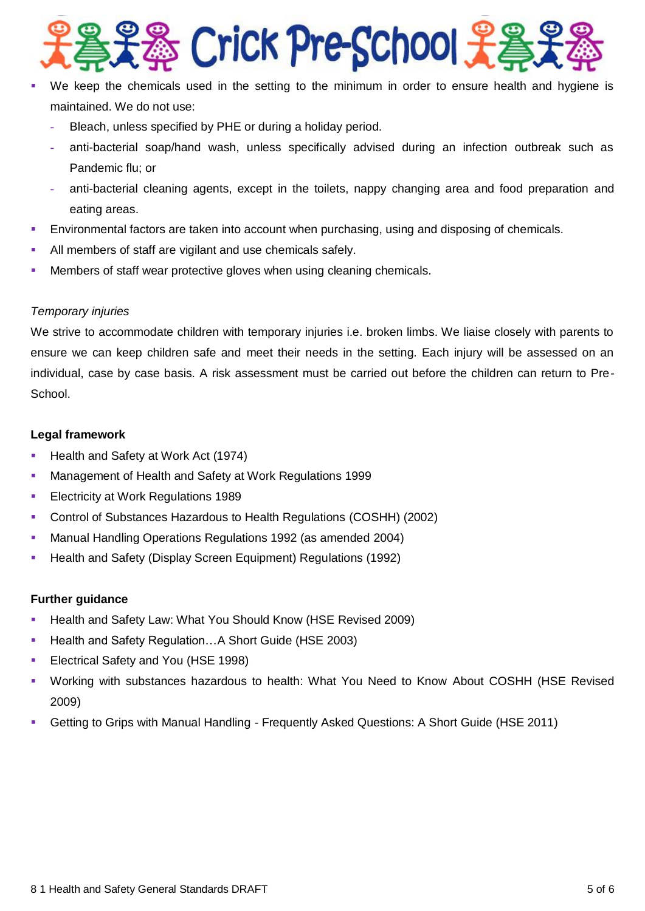

- We keep the chemicals used in the setting to the minimum in order to ensure health and hygiene is maintained. We do not use:
	- **-** Bleach, unless specified by PHE or during a holiday period.
	- **-** anti-bacterial soap/hand wash, unless specifically advised during an infection outbreak such as Pandemic flu; or
	- **-** anti-bacterial cleaning agents, except in the toilets, nappy changing area and food preparation and eating areas.
- Environmental factors are taken into account when purchasing, using and disposing of chemicals.
- All members of staff are vigilant and use chemicals safely.
- Members of staff wear protective gloves when using cleaning chemicals.

## *Temporary injuries*

We strive to accommodate children with temporary injuries i.e. broken limbs. We liaise closely with parents to ensure we can keep children safe and meet their needs in the setting. Each injury will be assessed on an individual, case by case basis. A risk assessment must be carried out before the children can return to Pre-School.

## **Legal framework**

- **Health and Safety at Work Act (1974)**
- **Management of Health and Safety at Work Regulations 1999**
- **Electricity at Work Regulations 1989**
- Control of Substances Hazardous to Health Regulations (COSHH) (2002)
- Manual Handling Operations Regulations 1992 (as amended 2004)
- **Health and Safety (Display Screen Equipment) Regulations (1992)**

## **Further guidance**

- Health and Safety Law: What You Should Know (HSE Revised 2009)
- Health and Safety Regulation...A Short Guide (HSE 2003)
- **Electrical Safety and You (HSE 1998)**
- Working with substances hazardous to health: What You Need to Know About COSHH (HSE Revised 2009)
- Getting to Grips with Manual Handling Frequently Asked Questions: A Short Guide (HSE 2011)